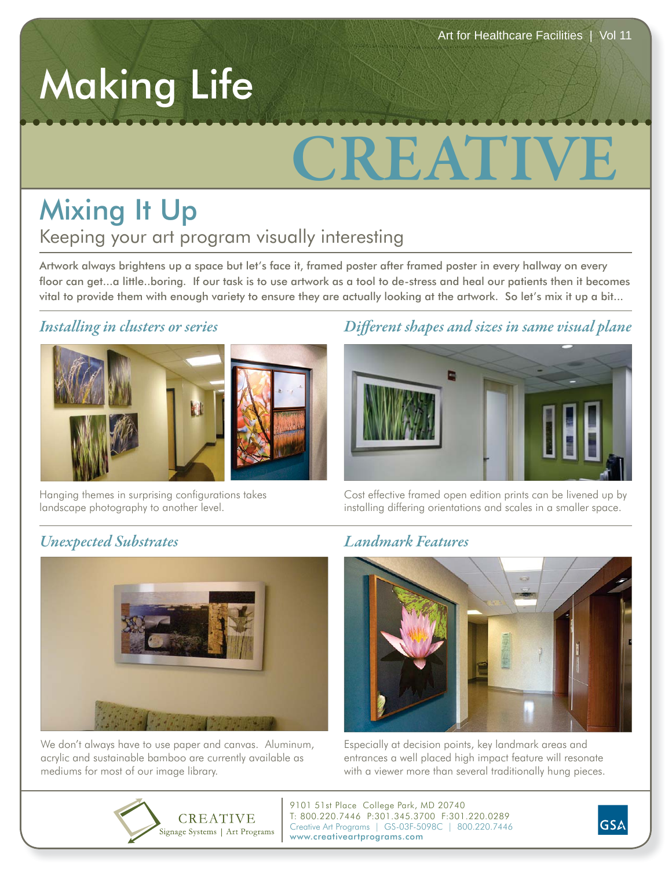## Making Life

# **CREATIVE**

### Keeping your art program visually interesting Mixing It Up

Artwork always brightens up a space but let's face it, framed poster after framed poster in every hallway on every floor can get...a little..boring. If our task is to use artwork as a tool to de-stress and heal our patients then it becomes vital to provide them with enough variety to ensure they are actually looking at the artwork. So let's mix it up a bit...

#### *Installing in clusters or series*



Hanging themes in surprising configurations takes landscape photography to another level.

#### *Different shapes and sizes in same visual plane*



Cost effective framed open edition prints can be livened up by installing differing orientations and scales in a smaller space.

#### *Unexpected Substrates*



We don't always have to use paper and canvas. Aluminum, acrylic and sustainable bamboo are currently available as mediums for most of our image library.

#### *Landmark Features*



Especially at decision points, key landmark areas and entrances a well placed high impact feature will resonate with a viewer more than several traditionally hung pieces.



9101 51st Place College Park, MD 20740 T: 800.220.7446 P:301.345.3700 F:301.220.0289 Creative Art Programs | GS-03F-5098C | 800.220.7446 www.creativeartprograms.com